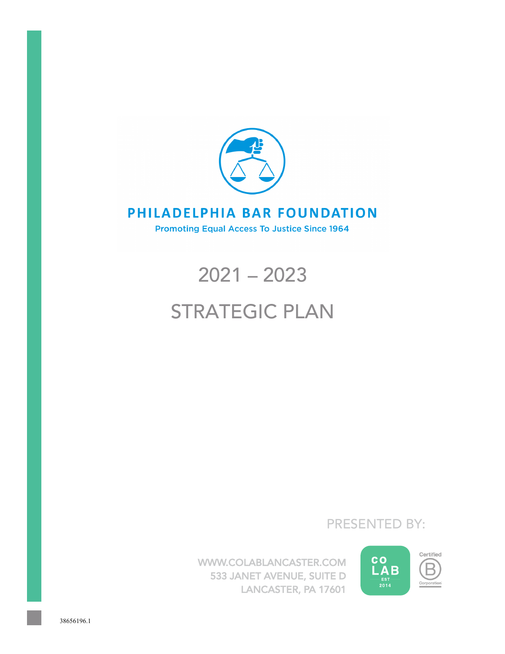

# PHILADELPHIA BAR FOUNDATION

**Promoting Equal Access To Justice Since 1964** 

# 2021 – 2023

# STRATEGIC PLAN

PRESENTED BY:

WWW.COLABLANCASTER.COM 533 JANET AVENUE, SUITE D LANCASTER, PA 17601

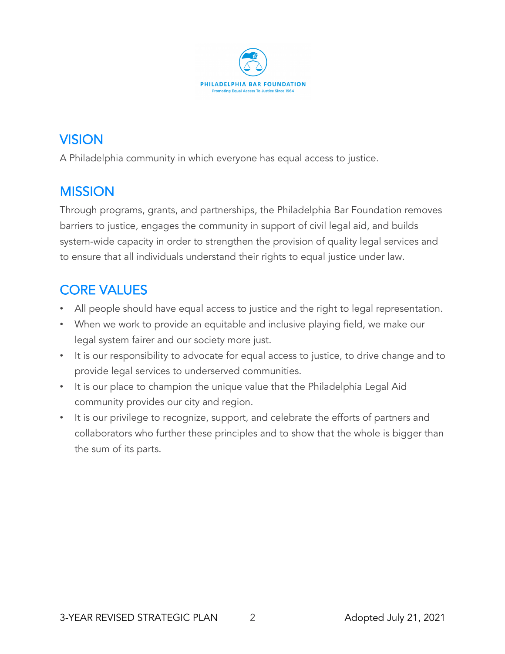

# VISION

A Philadelphia community in which everyone has equal access to justice.

# **MISSION**

Through programs, grants, and partnerships, the Philadelphia Bar Foundation removes barriers to justice, engages the community in support of civil legal aid, and builds system-wide capacity in order to strengthen the provision of quality legal services and to ensure that all individuals understand their rights to equal justice under law.

# CORE VALUES

- All people should have equal access to justice and the right to legal representation.
- When we work to provide an equitable and inclusive playing field, we make our legal system fairer and our society more just.
- It is our responsibility to advocate for equal access to justice, to drive change and to provide legal services to underserved communities.
- It is our place to champion the unique value that the Philadelphia Legal Aid community provides our city and region.
- It is our privilege to recognize, support, and celebrate the efforts of partners and collaborators who further these principles and to show that the whole is bigger than the sum of its parts.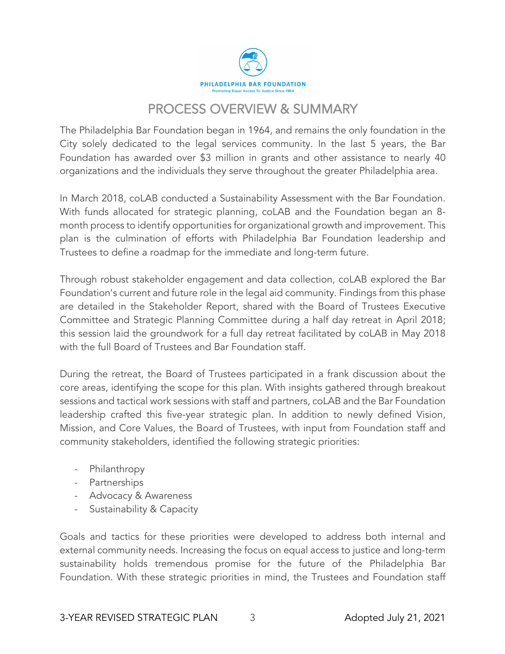

# PROCESS OVERVIEW & SUMMARY

The Philadelphia Bar Foundation began in 1964, and remains the only foundation in the City solely dedicated to the legal services community. In the last 5 years, the Bar Foundation has awarded over \$3 million in grants and other assistance to nearly 40 organizations and the individuals they serve throughout the greater Philadelphia area.

In March 2018, coLAB conducted a Sustainability Assessment with the Bar Foundation. With funds allocated for strategic planning, coLAB and the Foundation began an 8 month process to identify opportunities for organizational growth and improvement. This plan is the culmination of efforts with Philadelphia Bar Foundation leadership and Trustees to define a roadmap for the immediate and long-term future.

Through robust stakeholder engagement and data collection, coLAB explored the Bar Foundation's current and future role in the legal aid community. Findings from this phase are detailed in the Stakeholder Report, shared with the Board of Trustees Executive Committee and Strategic Planning Committee during a half day retreat in April 2018; this session laid the groundwork for a full day retreat facilitated by coLAB in May 2018 with the full Board of Trustees and Bar Foundation staff.

During the retreat, the Board of Trustees participated in a frank discussion about the core areas, identifying the scope for this plan. With insights gathered through breakout sessions and tactical work sessions with staff and partners, coLAB and the Bar Foundation leadership crafted this five-year strategic plan. In addition to newly defined Vision, Mission, and Core Values, the Board of Trustees, with input from Foundation staff and community stakeholders, identified the following strategic priorities:

- Philanthropy
- Partnerships
- Advocacy & Awareness
- Sustainability & Capacity

Goals and tactics for these priorities were developed to address both internal and external community needs. Increasing the focus on equal access to justice and long-term sustainability holds tremendous promise for the future of the Philadelphia Bar Foundation. With these strategic priorities in mind, the Trustees and Foundation staff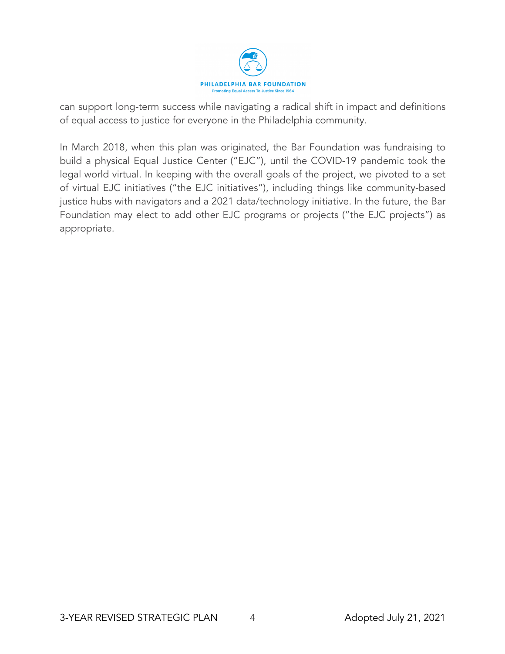

can support long-term success while navigating a radical shift in impact and definitions of equal access to justice for everyone in the Philadelphia community.

In March 2018, when this plan was originated, the Bar Foundation was fundraising to build a physical Equal Justice Center ("EJC"), until the COVID-19 pandemic took the legal world virtual. In keeping with the overall goals of the project, we pivoted to a set of virtual EJC initiatives ("the EJC initiatives"), including things like community-based justice hubs with navigators and a 2021 data/technology initiative. In the future, the Bar Foundation may elect to add other EJC programs or projects ("the EJC projects") as appropriate.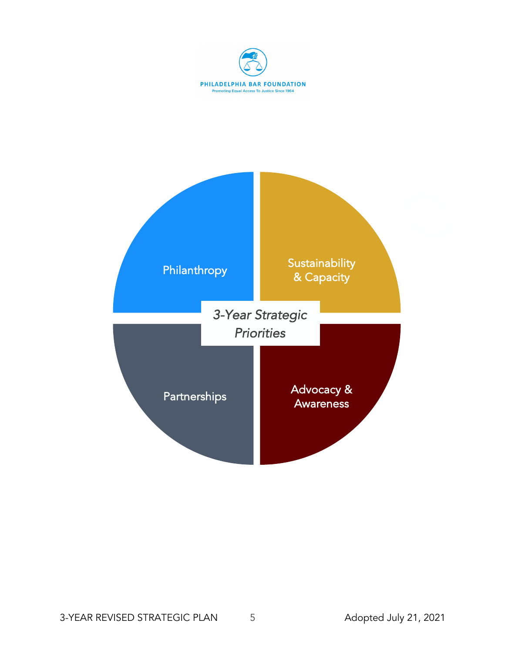

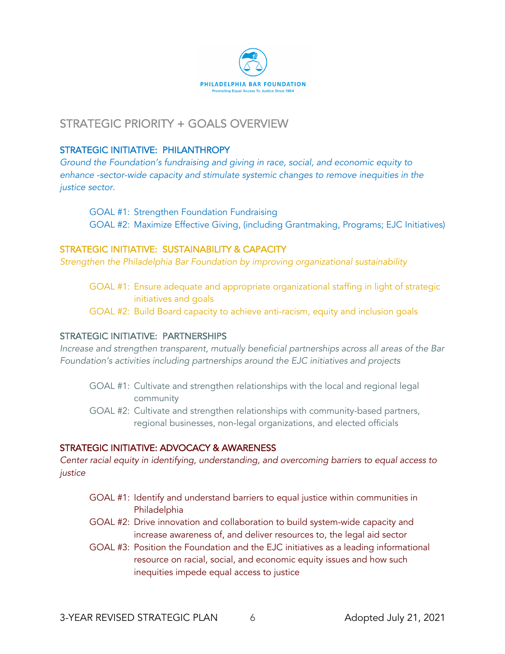

### STRATEGIC PRIORITY + GOALS OVERVIEW

#### STRATEGIC INITIATIVE: PHILANTHROPY

*Ground the Foundation's fundraising and giving in race, social, and economic equity to enhance -sector-wide capacity and stimulate systemic changes to remove inequities in the justice sector.* 

GOAL #1: Strengthen Foundation Fundraising GOAL #2: Maximize Effective Giving, (including Grantmaking, Programs; EJC Initiatives)

#### STRATEGIC INITIATIVE: SUSTAINABILITY & CAPACITY

*Strengthen the Philadelphia Bar Foundation by improving organizational sustainability*

- GOAL #1: Ensure adequate and appropriate organizational staffing in light of strategic initiatives and goals
- GOAL #2: Build Board capacity to achieve anti-racism, equity and inclusion goals

#### STRATEGIC INITIATIVE: PARTNERSHIPS

*Increase and strengthen transparent, mutually beneficial partnerships across all areas of the Bar Foundation's activities including partnerships around the EJC initiatives and projects*

- GOAL #1: Cultivate and strengthen relationships with the local and regional legal community
- GOAL #2: Cultivate and strengthen relationships with community-based partners, regional businesses, non-legal organizations, and elected officials

#### STRATEGIC INITIATIVE: ADVOCACY & AWARENESS

*Center racial equity in identifying, understanding, and overcoming barriers to equal access to justice*

- GOAL #1: Identify and understand barriers to equal justice within communities in Philadelphia
- GOAL #2: Drive innovation and collaboration to build system-wide capacity and increase awareness of, and deliver resources to, the legal aid sector
- GOAL #3: Position the Foundation and the EJC initiatives as a leading informational resource on racial, social, and economic equity issues and how such inequities impede equal access to justice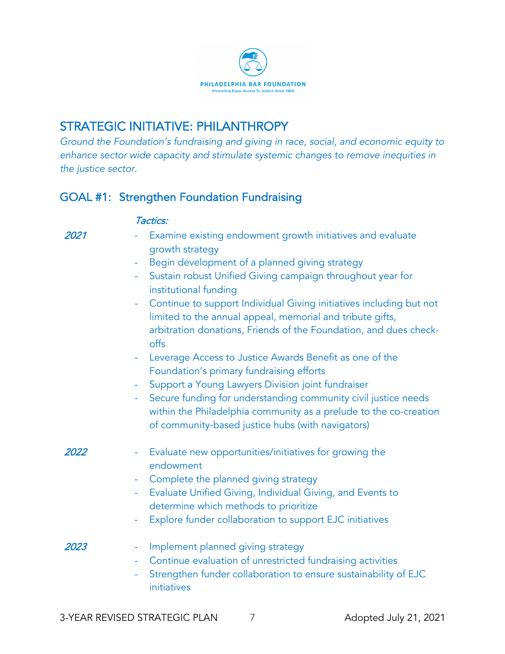

## STRATEGIC INITIATIVE: PHILANTHROPY

*Ground the Foundation's fundraising and giving in race, social, and economic equity to enhance sector wide capacity and stimulate systemic changes to remove inequities in the justice sector.* 

### GOAL #1: Strengthen Foundation Fundraising

#### Tactics:

| 2021 | Examine existing endowment growth initiatives and evaluate<br>growth strategy                                                                                                                                      |
|------|--------------------------------------------------------------------------------------------------------------------------------------------------------------------------------------------------------------------|
|      | Begin development of a planned giving strategy                                                                                                                                                                     |
|      | Sustain robust Unified Giving campaign throughout year for<br>institutional funding                                                                                                                                |
|      | Continue to support Individual Giving initiatives including but not<br>÷<br>limited to the annual appeal, memorial and tribute gifts,<br>arbitration donations, Friends of the Foundation, and dues check-<br>offs |
|      | Leverage Access to Justice Awards Benefit as one of the<br>Foundation's primary fundraising efforts                                                                                                                |
|      | Support a Young Lawyers Division joint fundraiser<br>÷                                                                                                                                                             |
|      | Secure funding for understanding community civil justice needs<br>÷<br>within the Philadelphia community as a prelude to the co-creation<br>of community-based justice hubs (with navigators)                      |
| 2022 | Evaluate new opportunities/initiatives for growing the<br>endowment                                                                                                                                                |
|      | Complete the planned giving strategy<br>÷                                                                                                                                                                          |
|      | Evaluate Unified Giving, Individual Giving, and Events to<br>÷<br>determine which methods to prioritize                                                                                                            |
|      | Explore funder collaboration to support EJC initiatives<br>÷                                                                                                                                                       |
| 2023 | Implement planned giving strategy<br>Continue evaluation of unrestricted fundraising activities<br>÷<br>Strengthen funder collaboration to ensure sustainability of EJC<br>initiatives                             |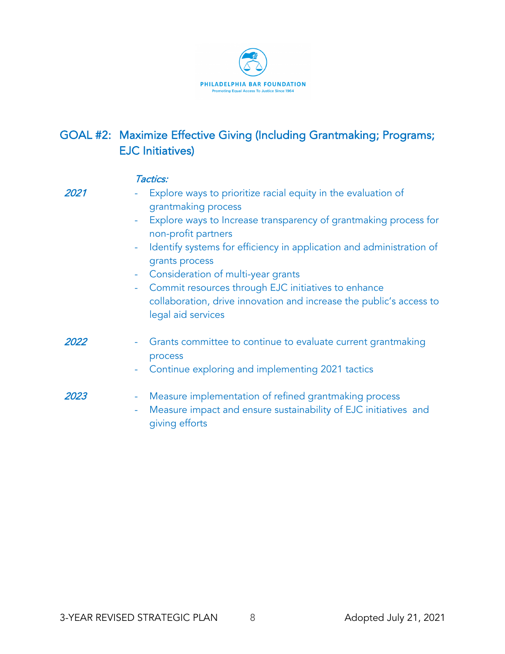

### GOAL #2: Maximize Effective Giving (Including Grantmaking; Programs; EJC Initiatives)

|      | Tactics:                                                                                                                                                                                                                                                                                                                                                                                                                                                                                            |
|------|-----------------------------------------------------------------------------------------------------------------------------------------------------------------------------------------------------------------------------------------------------------------------------------------------------------------------------------------------------------------------------------------------------------------------------------------------------------------------------------------------------|
| 2021 | Explore ways to prioritize racial equity in the evaluation of<br>٠<br>grantmaking process<br>Explore ways to Increase transparency of grantmaking process for<br>÷<br>non-profit partners<br>Identify systems for efficiency in application and administration of<br>$\equiv$<br>grants process<br>Consideration of multi-year grants<br>۰<br>Commit resources through EJC initiatives to enhance<br>÷<br>collaboration, drive innovation and increase the public's access to<br>legal aid services |
| 2022 | Grants committee to continue to evaluate current grantmaking<br>process<br>Continue exploring and implementing 2021 tactics<br>۰                                                                                                                                                                                                                                                                                                                                                                    |
| 2023 | Measure implementation of refined grantmaking process<br>۰<br>Measure impact and ensure sustainability of EJC initiatives and<br>۰<br>giving efforts                                                                                                                                                                                                                                                                                                                                                |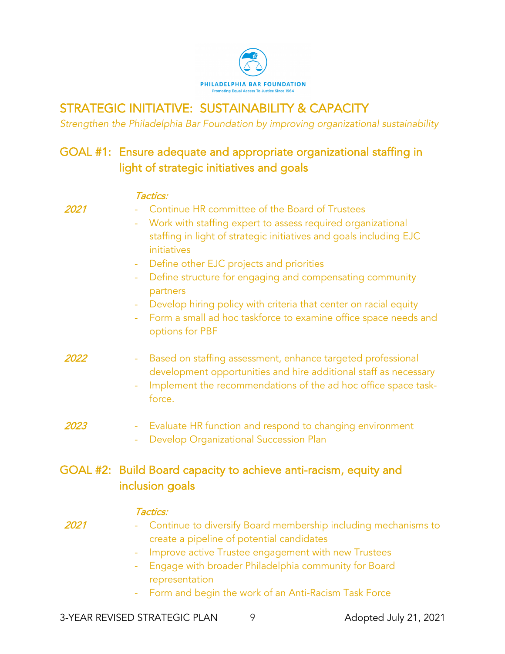

# STRATEGIC INITIATIVE: SUSTAINABILITY & CAPACITY

Tactics:

*Strengthen the Philadelphia Bar Foundation by improving organizational sustainability*

## GOAL #1: Ensure adequate and appropriate organizational staffing in light of strategic initiatives and goals

| 2021 | Continue HR committee of the Board of Trustees<br>initiatives                                                                                                                                    | Work with staffing expert to assess required organizational<br>staffing in light of strategic initiatives and goals including EJC                                                                 |
|------|--------------------------------------------------------------------------------------------------------------------------------------------------------------------------------------------------|---------------------------------------------------------------------------------------------------------------------------------------------------------------------------------------------------|
|      | Define other EJC projects and priorities<br>÷<br>÷,<br>partners<br>$\equiv$<br>options for PBF                                                                                                   | Define structure for engaging and compensating community<br>Develop hiring policy with criteria that center on racial equity<br>Form a small ad hoc taskforce to examine office space needs and   |
| 2022 | force.                                                                                                                                                                                           | Based on staffing assessment, enhance targeted professional<br>development opportunities and hire additional staff as necessary<br>Implement the recommendations of the ad hoc office space task- |
| 2023 | $\equiv$<br>Develop Organizational Succession Plan<br>$\overline{\phantom{a}}$                                                                                                                   | Evaluate HR function and respond to changing environment                                                                                                                                          |
|      | GOAL #2: Build Board capacity to achieve anti-racism, equity and<br>inclusion goals                                                                                                              |                                                                                                                                                                                                   |
| 2021 | Tactics:<br>create a pipeline of potential candidates<br>Improve active Trustee engagement with new Trustees<br>÷<br>representation<br>Form and begin the work of an Anti-Racism Task Force<br>÷ | Continue to diversify Board membership including mechanisms to<br>Engage with broader Philadelphia community for Board                                                                            |
|      | 3-YEAR REVISED STRATEGIC PLAN<br>9                                                                                                                                                               | Adopted July 21, 2021                                                                                                                                                                             |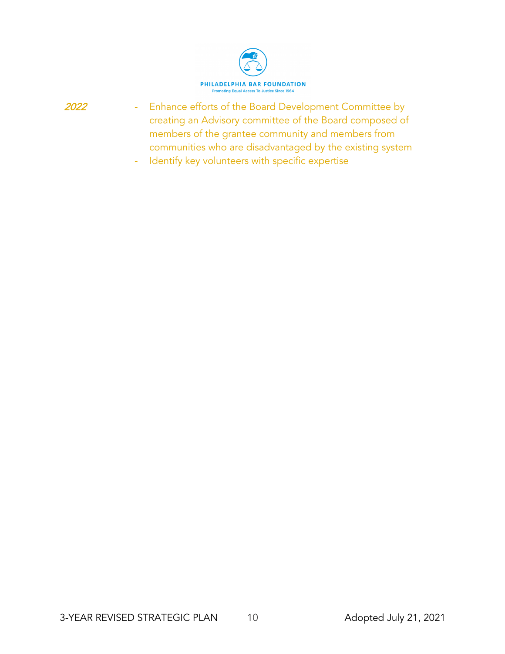

- Enhance efforts of the Board Development Committee by creating an Advisory committee of the Board composed of members of the grantee community and members from communities who are disadvantaged by the existing system
	- Identify key volunteers with specific expertise

2022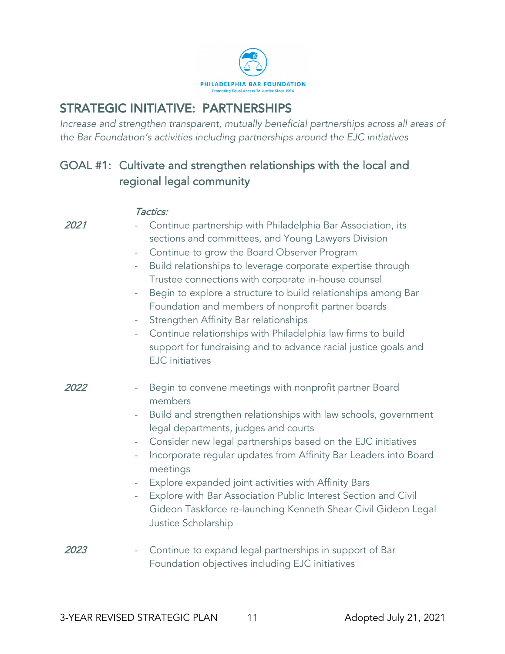

### STRATEGIC INITIATIVE: PARTNERSHIPS

*Increase and strengthen transparent, mutually beneficial partnerships across all areas of the Bar Foundation's activities including partnerships around the EJC initiatives*

### GOAL #1: Cultivate and strengthen relationships with the local and regional legal community

|      | Tactics:                                                                                                                                                                                                                                                                                                                                                                                                                                                                                                                                                                                                                                                                                                                                 |
|------|------------------------------------------------------------------------------------------------------------------------------------------------------------------------------------------------------------------------------------------------------------------------------------------------------------------------------------------------------------------------------------------------------------------------------------------------------------------------------------------------------------------------------------------------------------------------------------------------------------------------------------------------------------------------------------------------------------------------------------------|
| 2021 | Continue partnership with Philadelphia Bar Association, its<br>sections and committees, and Young Lawyers Division<br>Continue to grow the Board Observer Program<br>$\overline{\phantom{a}}$<br>Build relationships to leverage corporate expertise through<br>$\overline{\phantom{a}}$<br>Trustee connections with corporate in-house counsel<br>Begin to explore a structure to build relationships among Bar<br>$\overline{\phantom{0}}$<br>Foundation and members of nonprofit partner boards<br>Strengthen Affinity Bar relationships<br>-<br>Continue relationships with Philadelphia law firms to build<br>$\overline{\phantom{a}}$<br>support for fundraising and to advance racial justice goals and<br><b>EJC</b> initiatives |
| 2022 | Begin to convene meetings with nonprofit partner Board<br>members<br>Build and strengthen relationships with law schools, government<br>$\overline{\phantom{0}}$<br>legal departments, judges and courts<br>Consider new legal partnerships based on the EJC initiatives<br>$\qquad \qquad \blacksquare$<br>Incorporate regular updates from Affinity Bar Leaders into Board<br>$\qquad \qquad -$<br>meetings<br>Explore expanded joint activities with Affinity Bars<br>$\overline{\phantom{0}}$<br>Explore with Bar Association Public Interest Section and Civil<br>$\overline{\phantom{0}}$<br>Gideon Taskforce re-launching Kenneth Shear Civil Gideon Legal<br>Justice Scholarship                                                 |
| 2023 | Continue to expand legal partnerships in support of Bar<br>$\overline{\phantom{m}}$<br>Foundation objectives including EJC initiatives                                                                                                                                                                                                                                                                                                                                                                                                                                                                                                                                                                                                   |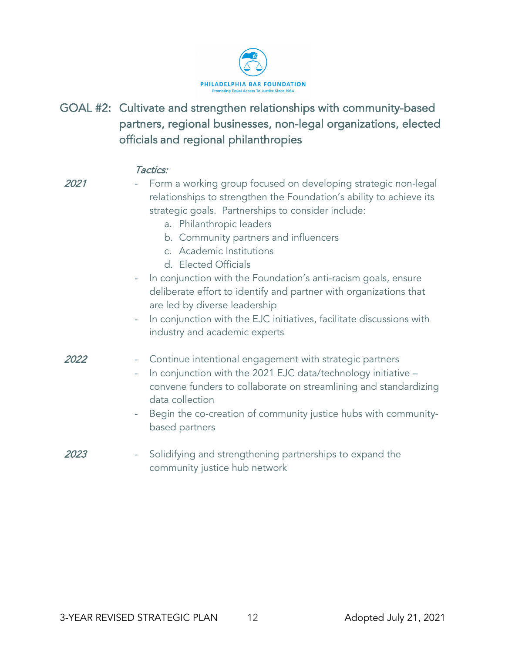

GOAL #2: Cultivate and strengthen relationships with community-based partners, regional businesses, non-legal organizations, elected officials and regional philanthropies

|      | , acucs.                                                                                                                                                                                                                                                                                                                                                                                                                                                                                                                                                                                                                                                      |
|------|---------------------------------------------------------------------------------------------------------------------------------------------------------------------------------------------------------------------------------------------------------------------------------------------------------------------------------------------------------------------------------------------------------------------------------------------------------------------------------------------------------------------------------------------------------------------------------------------------------------------------------------------------------------|
| 2021 | Form a working group focused on developing strategic non-legal<br>relationships to strengthen the Foundation's ability to achieve its<br>strategic goals. Partnerships to consider include:<br>a. Philanthropic leaders<br>b. Community partners and influencers<br>c. Academic Institutions<br>d. Elected Officials<br>In conjunction with the Foundation's anti-racism goals, ensure<br>$\overline{\phantom{0}}$<br>deliberate effort to identify and partner with organizations that<br>are led by diverse leadership<br>In conjunction with the EJC initiatives, facilitate discussions with<br>$\overline{\phantom{0}}$<br>industry and academic experts |
| 2022 | Continue intentional engagement with strategic partners<br>-<br>In conjunction with the 2021 EJC data/technology initiative -<br>-<br>convene funders to collaborate on streamlining and standardizing<br>data collection<br>Begin the co-creation of community justice hubs with community-<br>$\overline{\phantom{0}}$<br>based partners                                                                                                                                                                                                                                                                                                                    |
| 2023 | Solidifying and strengthening partnerships to expand the<br>-<br>community justice hub network                                                                                                                                                                                                                                                                                                                                                                                                                                                                                                                                                                |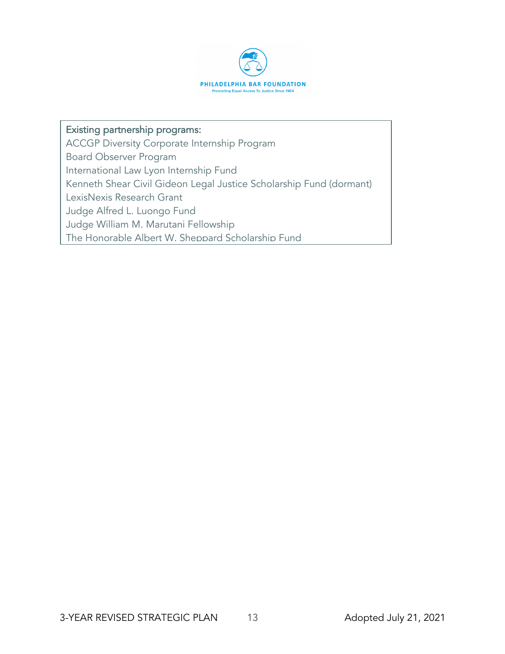

#### Existing partnership programs:

ACCGP Diversity Corporate Internship Program

Board Observer Program

International Law Lyon Internship Fund

Kenneth Shear Civil Gideon Legal Justice Scholarship Fund (dormant)

LexisNexis Research Grant

Judge Alfred L. Luongo Fund

Judge William M. Marutani Fellowship

The Honorable Albert W. Sheppard Scholarship Fund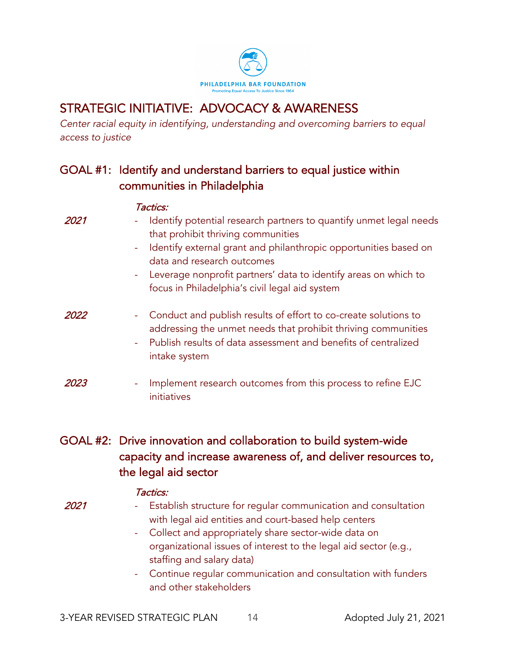

# STRATEGIC INITIATIVE: ADVOCACY & AWARENESS

*Center racial equity in identifying, understanding and overcoming barriers to equal access to justice*

### GOAL #1: Identify and understand barriers to equal justice within communities in Philadelphia

|      | Tactics:                                                                                                                                                                                                                                                                                                                               |
|------|----------------------------------------------------------------------------------------------------------------------------------------------------------------------------------------------------------------------------------------------------------------------------------------------------------------------------------------|
| 2021 | Identify potential research partners to quantify unmet legal needs<br>that prohibit thriving communities<br>Identify external grant and philanthropic opportunities based on<br>÷<br>data and research outcomes<br>- Leverage nonprofit partners' data to identify areas on which to<br>focus in Philadelphia's civil legal aid system |
| 2022 | Conduct and publish results of effort to co-create solutions to<br>۰<br>addressing the unmet needs that prohibit thriving communities<br>Publish results of data assessment and benefits of centralized<br>÷<br>intake system                                                                                                          |
| 2023 | Implement research outcomes from this process to refine EJC<br>۰<br>initiatives                                                                                                                                                                                                                                                        |

### GOAL #2: Drive innovation and collaboration to build system-wide capacity and increase awareness of, and deliver resources to, the legal aid sector

#### Tactics:

2021

- Establish structure for regular communication and consultation with legal aid entities and court-based help centers
	- Collect and appropriately share sector-wide data on organizational issues of interest to the legal aid sector (e.g., staffing and salary data)
	- Continue regular communication and consultation with funders and other stakeholders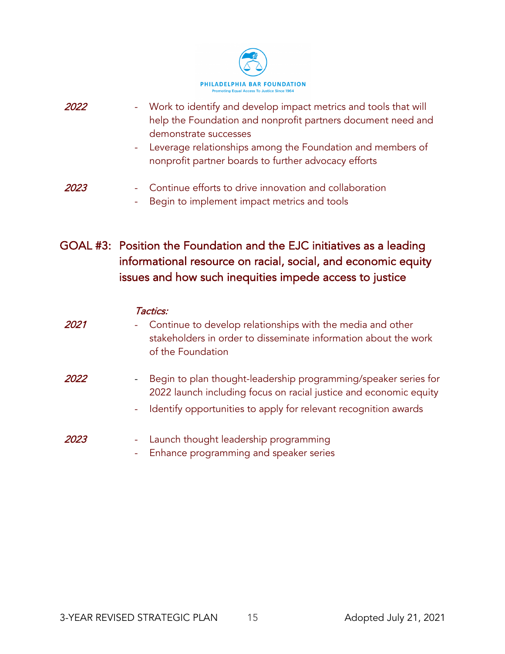

- 2022 - Work to identify and develop impact metrics and tools that will help the Foundation and nonprofit partners document need and demonstrate successes
	- Leverage relationships among the Foundation and members of nonprofit partner boards to further advocacy efforts
- 2023 Continue efforts to drive innovation and collaboration
	- Begin to implement impact metrics and tools
- GOAL #3: Position the Foundation and the EJC initiatives as a leading informational resource on racial, social, and economic equity issues and how such inequities impede access to justice

|      | Tactics:                                                                                                                                                         |
|------|------------------------------------------------------------------------------------------------------------------------------------------------------------------|
| 2021 | Continue to develop relationships with the media and other<br>÷<br>stakeholders in order to disseminate information about the work<br>of the Foundation          |
| 2022 | Begin to plan thought-leadership programming/speaker series for<br>$\overline{\phantom{a}}$<br>2022 launch including focus on racial justice and economic equity |
|      | Identify opportunities to apply for relevant recognition awards<br>$\equiv$                                                                                      |
| 2023 | Launch thought leadership programming<br>۰<br>Enhance programming and speaker series                                                                             |